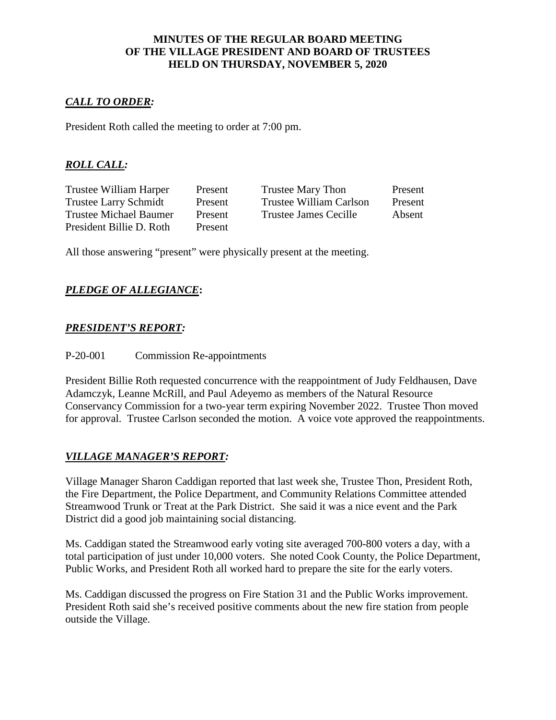#### **MINUTES OF THE REGULAR BOARD MEETING OF THE VILLAGE PRESIDENT AND BOARD OF TRUSTEES HELD ON THURSDAY, NOVEMBER 5, 2020**

### *CALL TO ORDER:*

President Roth called the meeting to order at 7:00 pm.

# *ROLL CALL:*

Trustee William Harper Present Trustee Mary Thon Present President Billie D. Roth Present

Trustee Larry Schmidt Present Trustee William Carlson Present Trustee Michael Baumer Present Trustee James Cecille Absent

All those answering "present" were physically present at the meeting.

### *PLEDGE OF ALLEGIANCE***:**

#### *PRESIDENT'S REPORT:*

P-20-001 Commission Re-appointments

President Billie Roth requested concurrence with the reappointment of Judy Feldhausen, Dave Adamczyk, Leanne McRill, and Paul Adeyemo as members of the Natural Resource Conservancy Commission for a two-year term expiring November 2022. Trustee Thon moved for approval. Trustee Carlson seconded the motion. A voice vote approved the reappointments.

### *VILLAGE MANAGER'S REPORT:*

Village Manager Sharon Caddigan reported that last week she, Trustee Thon, President Roth, the Fire Department, the Police Department, and Community Relations Committee attended Streamwood Trunk or Treat at the Park District. She said it was a nice event and the Park District did a good job maintaining social distancing.

Ms. Caddigan stated the Streamwood early voting site averaged 700-800 voters a day, with a total participation of just under 10,000 voters. She noted Cook County, the Police Department, Public Works, and President Roth all worked hard to prepare the site for the early voters.

Ms. Caddigan discussed the progress on Fire Station 31 and the Public Works improvement. President Roth said she's received positive comments about the new fire station from people outside the Village.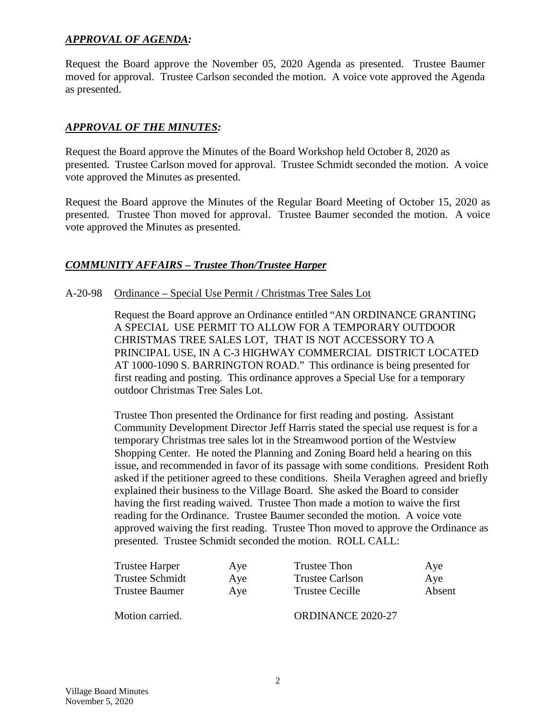### *APPROVAL OF AGENDA:*

Request the Board approve the November 05, 2020 Agenda as presented. Trustee Baumer moved for approval. Trustee Carlson seconded the motion. A voice vote approved the Agenda as presented.

### *APPROVAL OF THE MINUTES:*

Request the Board approve the Minutes of the Board Workshop held October 8, 2020 as presented. Trustee Carlson moved for approval. Trustee Schmidt seconded the motion. A voice vote approved the Minutes as presented.

Request the Board approve the Minutes of the Regular Board Meeting of October 15, 2020 as presented. Trustee Thon moved for approval. Trustee Baumer seconded the motion. A voice vote approved the Minutes as presented.

### *COMMUNITY AFFAIRS – Trustee Thon/Trustee Harper*

#### A-20-98 Ordinance – Special Use Permit / Christmas Tree Sales Lot

Request the Board approve an Ordinance entitled "AN ORDINANCE GRANTING A SPECIAL USE PERMIT TO ALLOW FOR A TEMPORARY OUTDOOR CHRISTMAS TREE SALES LOT, THAT IS NOT ACCESSORY TO A PRINCIPAL USE, IN A C-3 HIGHWAY COMMERCIAL DISTRICT LOCATED AT 1000-1090 S. BARRINGTON ROAD." This ordinance is being presented for first reading and posting. This ordinance approves a Special Use for a temporary outdoor Christmas Tree Sales Lot.

Trustee Thon presented the Ordinance for first reading and posting. Assistant Community Development Director Jeff Harris stated the special use request is for a temporary Christmas tree sales lot in the Streamwood portion of the Westview Shopping Center. He noted the Planning and Zoning Board held a hearing on this issue, and recommended in favor of its passage with some conditions. President Roth asked if the petitioner agreed to these conditions. Sheila Veraghen agreed and briefly explained their business to the Village Board. She asked the Board to consider having the first reading waived. Trustee Thon made a motion to waive the first reading for the Ordinance. Trustee Baumer seconded the motion. A voice vote approved waiving the first reading. Trustee Thon moved to approve the Ordinance as presented. Trustee Schmidt seconded the motion. ROLL CALL:

| Trustee Harper  | Aye | Trustee Thon      | Aye    |
|-----------------|-----|-------------------|--------|
| Trustee Schmidt | Aye | Trustee Carlson   | Aye    |
| Trustee Baumer  | Aye | Trustee Cecille   | Absent |
| Motion carried. |     | ORDINANCE 2020-27 |        |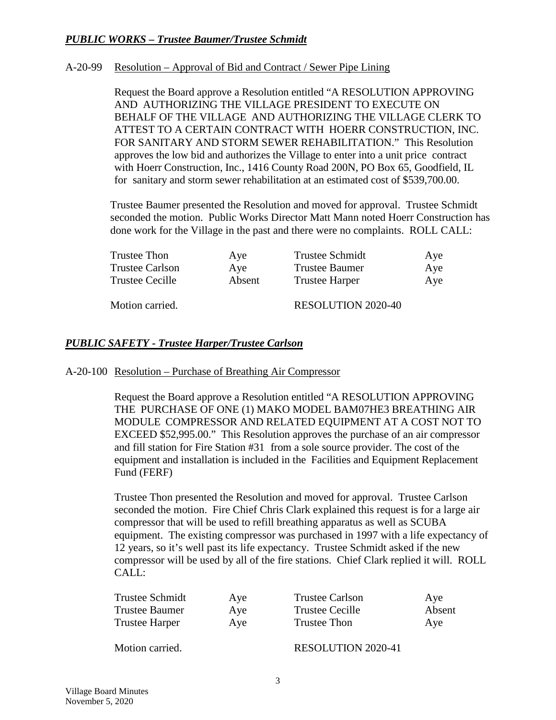### *PUBLIC WORKS – Trustee Baumer/Trustee Schmidt*

#### A-20-99 Resolution – Approval of Bid and Contract / Sewer Pipe Lining

Request the Board approve a Resolution entitled "A RESOLUTION APPROVING AND AUTHORIZING THE VILLAGE PRESIDENT TO EXECUTE ON BEHALF OF THE VILLAGE AND AUTHORIZING THE VILLAGE CLERK TO ATTEST TO A CERTAIN CONTRACT WITH HOERR CONSTRUCTION, INC. FOR SANITARY AND STORM SEWER REHABILITATION." This Resolution approves the low bid and authorizes the Village to enter into a unit price contract with Hoerr Construction, Inc., 1416 County Road 200N, PO Box 65, Goodfield, IL for sanitary and storm sewer rehabilitation at an estimated cost of \$539,700.00.

Trustee Baumer presented the Resolution and moved for approval. Trustee Schmidt seconded the motion. Public Works Director Matt Mann noted Hoerr Construction has done work for the Village in the past and there were no complaints. ROLL CALL:

| Trustee Thon           | Aye    | <b>Trustee Schmidt</b>    | Aye |
|------------------------|--------|---------------------------|-----|
| <b>Trustee Carlson</b> | Aye    | <b>Trustee Baumer</b>     | Aye |
| Trustee Cecille        | Absent | Trustee Harper            | Aye |
| Motion carried.        |        | <b>RESOLUTION 2020-40</b> |     |

### *PUBLIC SAFETY - Trustee Harper/Trustee Carlson*

#### A-20-100 Resolution – Purchase of Breathing Air Compressor

Request the Board approve a Resolution entitled "A RESOLUTION APPROVING THE PURCHASE OF ONE (1) MAKO MODEL BAM07HE3 BREATHING AIR MODULE COMPRESSOR AND RELATED EQUIPMENT AT A COST NOT TO EXCEED \$52,995.00." This Resolution approves the purchase of an air compressor and fill station for Fire Station #31 from a sole source provider. The cost of the equipment and installation is included in the Facilities and Equipment Replacement Fund (FERF)

Trustee Thon presented the Resolution and moved for approval. Trustee Carlson seconded the motion. Fire Chief Chris Clark explained this request is for a large air compressor that will be used to refill breathing apparatus as well as SCUBA equipment. The existing compressor was purchased in 1997 with a life expectancy of 12 years, so it's well past its life expectancy. Trustee Schmidt asked if the new compressor will be used by all of the fire stations. Chief Clark replied it will. ROLL CALL:

| Trustee Schmidt       | Aye | <b>Trustee Carlson</b>    | Aye    |
|-----------------------|-----|---------------------------|--------|
| <b>Trustee Baumer</b> | Aye | <b>Trustee Cecille</b>    | Absent |
| <b>Trustee Harper</b> | Aye | Trustee Thon              | Aye    |
| Motion carried.       |     | <b>RESOLUTION 2020-41</b> |        |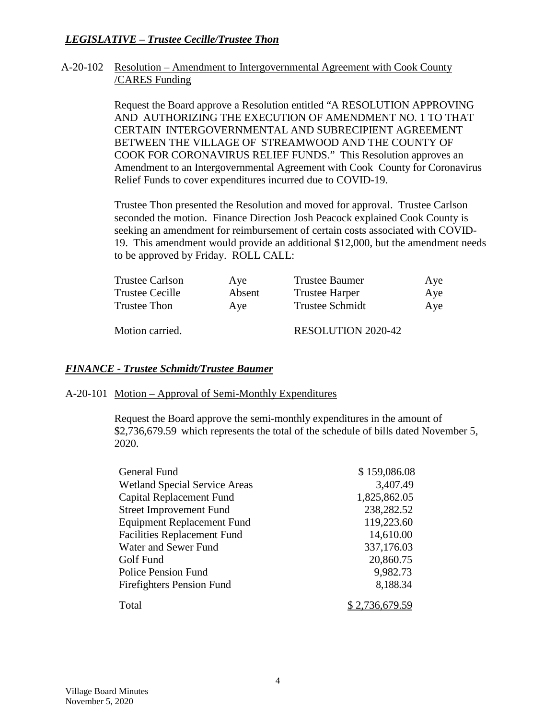## *LEGISLATIVE – Trustee Cecille/Trustee Thon*

#### A-20-102 Resolution – Amendment to Intergovernmental Agreement with Cook County /CARES Funding

Request the Board approve a Resolution entitled "A RESOLUTION APPROVING AND AUTHORIZING THE EXECUTION OF AMENDMENT NO. 1 TO THAT CERTAIN INTERGOVERNMENTAL AND SUBRECIPIENT AGREEMENT BETWEEN THE VILLAGE OF STREAMWOOD AND THE COUNTY OF COOK FOR CORONAVIRUS RELIEF FUNDS." This Resolution approves an Amendment to an Intergovernmental Agreement with Cook County for Coronavirus Relief Funds to cover expenditures incurred due to COVID-19.

Trustee Thon presented the Resolution and moved for approval. Trustee Carlson seconded the motion. Finance Direction Josh Peacock explained Cook County is seeking an amendment for reimbursement of certain costs associated with COVID-19. This amendment would provide an additional \$12,000, but the amendment needs to be approved by Friday. ROLL CALL:

| <b>Trustee Carlson</b> | Aye    | <b>Trustee Baumer</b>     | Aye |
|------------------------|--------|---------------------------|-----|
| Trustee Cecille        | Absent | <b>Trustee Harper</b>     | Aye |
| Trustee Thon           | Ave    | <b>Trustee Schmidt</b>    | Aye |
| Motion carried.        |        | <b>RESOLUTION 2020-42</b> |     |

#### *FINANCE - Trustee Schmidt/Trustee Baumer*

#### A-20-101 Motion – Approval of Semi-Monthly Expenditures

Request the Board approve the semi-monthly expenditures in the amount of \$2,736,679.59 which represents the total of the schedule of bills dated November 5, 2020.

| General Fund                         | \$159,086.08 |
|--------------------------------------|--------------|
| <b>Wetland Special Service Areas</b> | 3,407.49     |
| Capital Replacement Fund             | 1,825,862.05 |
| <b>Street Improvement Fund</b>       | 238,282.52   |
| <b>Equipment Replacement Fund</b>    | 119,223.60   |
| <b>Facilities Replacement Fund</b>   | 14,610.00    |
| Water and Sewer Fund                 | 337,176.03   |
| Golf Fund                            | 20,860.75    |
| <b>Police Pension Fund</b>           | 9,982.73     |
| <b>Firefighters Pension Fund</b>     | 8,188.34     |
| Total                                |              |